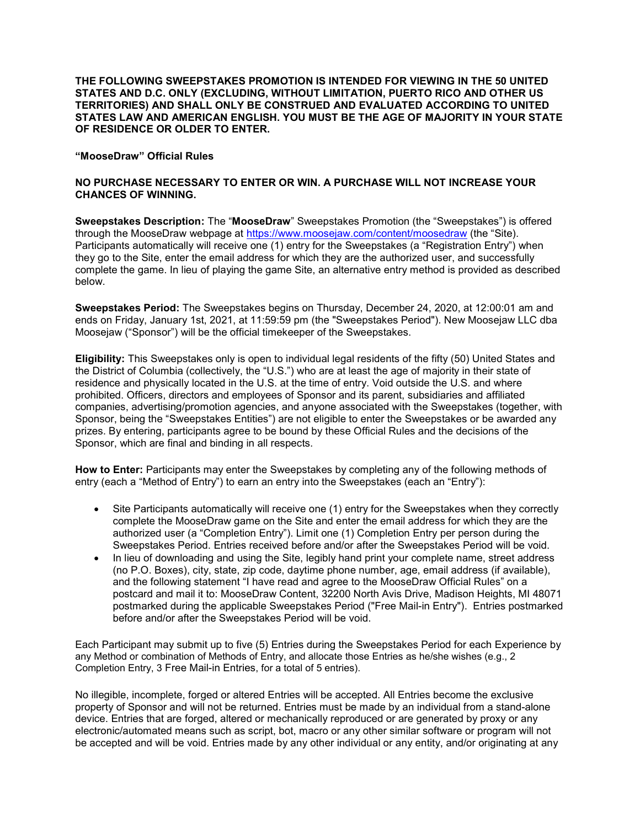THE FOLLOWING SWEEPSTAKES PROMOTION IS INTENDED FOR VIEWING IN THE 50 UNITED STATES AND D.C. ONLY (EXCLUDING, WITHOUT LIMITATION, PUERTO RICO AND OTHER US TERRITORIES) AND SHALL ONLY BE CONSTRUED AND EVALUATED ACCORDING TO UNITED STATES LAW AND AMERICAN ENGLISH. YOU MUST BE THE AGE OF MAJORITY IN YOUR STATE OF RESIDENCE OR OLDER TO ENTER.

## "MooseDraw" Official Rules

## NO PURCHASE NECESSARY TO ENTER OR WIN. A PURCHASE WILL NOT INCREASE YOUR CHANCES OF WINNING.

Sweepstakes Description: The "MooseDraw" Sweepstakes Promotion (the "Sweepstakes") is offered through the MooseDraw webpage at https://www.moosejaw.com/content/moosedraw (the "Site). Participants automatically will receive one (1) entry for the Sweepstakes (a "Registration Entry") when they go to the Site, enter the email address for which they are the authorized user, and successfully complete the game. In lieu of playing the game Site, an alternative entry method is provided as described below.

Sweepstakes Period: The Sweepstakes begins on Thursday, December 24, 2020, at 12:00:01 am and ends on Friday, January 1st, 2021, at 11:59:59 pm (the "Sweepstakes Period"). New Moosejaw LLC dba Moosejaw ("Sponsor") will be the official timekeeper of the Sweepstakes.

Eligibility: This Sweepstakes only is open to individual legal residents of the fifty (50) United States and the District of Columbia (collectively, the "U.S.") who are at least the age of majority in their state of residence and physically located in the U.S. at the time of entry. Void outside the U.S. and where prohibited. Officers, directors and employees of Sponsor and its parent, subsidiaries and affiliated companies, advertising/promotion agencies, and anyone associated with the Sweepstakes (together, with Sponsor, being the "Sweepstakes Entities") are not eligible to enter the Sweepstakes or be awarded any prizes. By entering, participants agree to be bound by these Official Rules and the decisions of the Sponsor, which are final and binding in all respects.

How to Enter: Participants may enter the Sweepstakes by completing any of the following methods of entry (each a "Method of Entry") to earn an entry into the Sweepstakes (each an "Entry"):

- Site Participants automatically will receive one (1) entry for the Sweepstakes when they correctly complete the MooseDraw game on the Site and enter the email address for which they are the authorized user (a "Completion Entry"). Limit one (1) Completion Entry per person during the Sweepstakes Period. Entries received before and/or after the Sweepstakes Period will be void.
- In lieu of downloading and using the Site, legibly hand print your complete name, street address (no P.O. Boxes), city, state, zip code, daytime phone number, age, email address (if available), and the following statement "I have read and agree to the MooseDraw Official Rules" on a postcard and mail it to: MooseDraw Content, 32200 North Avis Drive, Madison Heights, MI 48071 postmarked during the applicable Sweepstakes Period ("Free Mail-in Entry"). Entries postmarked before and/or after the Sweepstakes Period will be void.

Each Participant may submit up to five (5) Entries during the Sweepstakes Period for each Experience by any Method or combination of Methods of Entry, and allocate those Entries as he/she wishes (e.g., 2 Completion Entry, 3 Free Mail-in Entries, for a total of 5 entries).

No illegible, incomplete, forged or altered Entries will be accepted. All Entries become the exclusive property of Sponsor and will not be returned. Entries must be made by an individual from a stand-alone device. Entries that are forged, altered or mechanically reproduced or are generated by proxy or any electronic/automated means such as script, bot, macro or any other similar software or program will not be accepted and will be void. Entries made by any other individual or any entity, and/or originating at any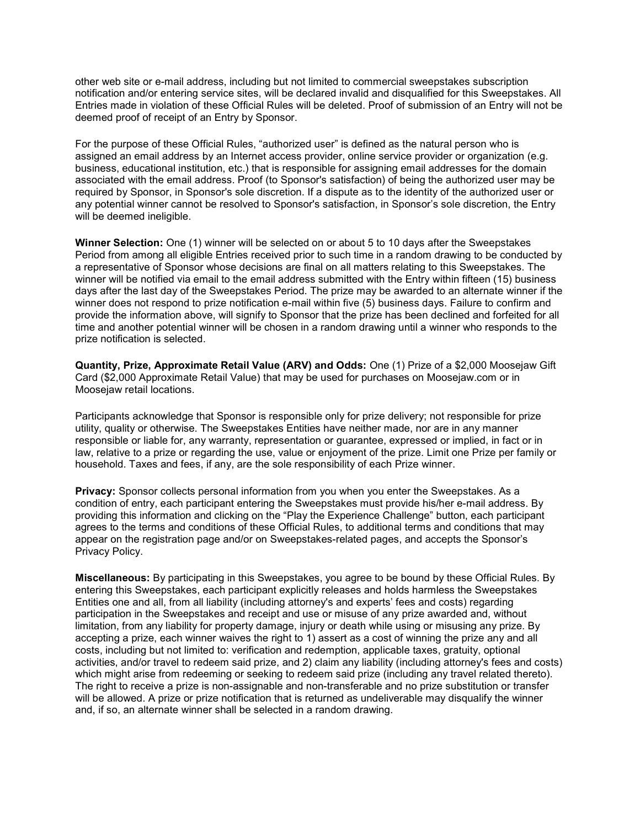other web site or e-mail address, including but not limited to commercial sweepstakes subscription notification and/or entering service sites, will be declared invalid and disqualified for this Sweepstakes. All Entries made in violation of these Official Rules will be deleted. Proof of submission of an Entry will not be deemed proof of receipt of an Entry by Sponsor.

For the purpose of these Official Rules, "authorized user" is defined as the natural person who is assigned an email address by an Internet access provider, online service provider or organization (e.g. business, educational institution, etc.) that is responsible for assigning email addresses for the domain associated with the email address. Proof (to Sponsor's satisfaction) of being the authorized user may be required by Sponsor, in Sponsor's sole discretion. If a dispute as to the identity of the authorized user or any potential winner cannot be resolved to Sponsor's satisfaction, in Sponsor's sole discretion, the Entry will be deemed ineligible.

Winner Selection: One (1) winner will be selected on or about 5 to 10 days after the Sweepstakes Period from among all eligible Entries received prior to such time in a random drawing to be conducted by a representative of Sponsor whose decisions are final on all matters relating to this Sweepstakes. The winner will be notified via email to the email address submitted with the Entry within fifteen (15) business days after the last day of the Sweepstakes Period. The prize may be awarded to an alternate winner if the winner does not respond to prize notification e-mail within five (5) business days. Failure to confirm and provide the information above, will signify to Sponsor that the prize has been declined and forfeited for all time and another potential winner will be chosen in a random drawing until a winner who responds to the prize notification is selected.

Quantity, Prize, Approximate Retail Value (ARV) and Odds: One (1) Prize of a \$2,000 Moosejaw Gift Card (\$2,000 Approximate Retail Value) that may be used for purchases on Moosejaw.com or in Moosejaw retail locations.

Participants acknowledge that Sponsor is responsible only for prize delivery; not responsible for prize utility, quality or otherwise. The Sweepstakes Entities have neither made, nor are in any manner responsible or liable for, any warranty, representation or guarantee, expressed or implied, in fact or in law, relative to a prize or regarding the use, value or enjoyment of the prize. Limit one Prize per family or household. Taxes and fees, if any, are the sole responsibility of each Prize winner.

**Privacy:** Sponsor collects personal information from you when you enter the Sweepstakes. As a condition of entry, each participant entering the Sweepstakes must provide his/her e-mail address. By providing this information and clicking on the "Play the Experience Challenge" button, each participant agrees to the terms and conditions of these Official Rules, to additional terms and conditions that may appear on the registration page and/or on Sweepstakes-related pages, and accepts the Sponsor's Privacy Policy.

Miscellaneous: By participating in this Sweepstakes, you agree to be bound by these Official Rules. By entering this Sweepstakes, each participant explicitly releases and holds harmless the Sweepstakes Entities one and all, from all liability (including attorney's and experts' fees and costs) regarding participation in the Sweepstakes and receipt and use or misuse of any prize awarded and, without limitation, from any liability for property damage, injury or death while using or misusing any prize. By accepting a prize, each winner waives the right to 1) assert as a cost of winning the prize any and all costs, including but not limited to: verification and redemption, applicable taxes, gratuity, optional activities, and/or travel to redeem said prize, and 2) claim any liability (including attorney's fees and costs) which might arise from redeeming or seeking to redeem said prize (including any travel related thereto). The right to receive a prize is non-assignable and non-transferable and no prize substitution or transfer will be allowed. A prize or prize notification that is returned as undeliverable may disqualify the winner and, if so, an alternate winner shall be selected in a random drawing.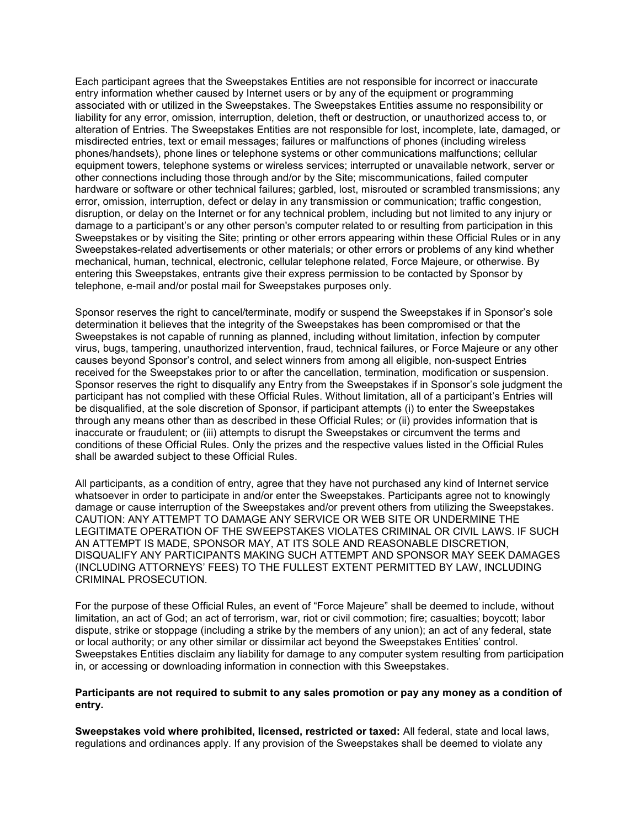Each participant agrees that the Sweepstakes Entities are not responsible for incorrect or inaccurate entry information whether caused by Internet users or by any of the equipment or programming associated with or utilized in the Sweepstakes. The Sweepstakes Entities assume no responsibility or liability for any error, omission, interruption, deletion, theft or destruction, or unauthorized access to, or alteration of Entries. The Sweepstakes Entities are not responsible for lost, incomplete, late, damaged, or misdirected entries, text or email messages; failures or malfunctions of phones (including wireless phones/handsets), phone lines or telephone systems or other communications malfunctions; cellular equipment towers, telephone systems or wireless services; interrupted or unavailable network, server or other connections including those through and/or by the Site; miscommunications, failed computer hardware or software or other technical failures; garbled, lost, misrouted or scrambled transmissions; any error, omission, interruption, defect or delay in any transmission or communication; traffic congestion, disruption, or delay on the Internet or for any technical problem, including but not limited to any injury or damage to a participant's or any other person's computer related to or resulting from participation in this Sweepstakes or by visiting the Site; printing or other errors appearing within these Official Rules or in any Sweepstakes-related advertisements or other materials; or other errors or problems of any kind whether mechanical, human, technical, electronic, cellular telephone related, Force Majeure, or otherwise. By entering this Sweepstakes, entrants give their express permission to be contacted by Sponsor by telephone, e-mail and/or postal mail for Sweepstakes purposes only.

Sponsor reserves the right to cancel/terminate, modify or suspend the Sweepstakes if in Sponsor's sole determination it believes that the integrity of the Sweepstakes has been compromised or that the Sweepstakes is not capable of running as planned, including without limitation, infection by computer virus, bugs, tampering, unauthorized intervention, fraud, technical failures, or Force Majeure or any other causes beyond Sponsor's control, and select winners from among all eligible, non-suspect Entries received for the Sweepstakes prior to or after the cancellation, termination, modification or suspension. Sponsor reserves the right to disqualify any Entry from the Sweepstakes if in Sponsor's sole judgment the participant has not complied with these Official Rules. Without limitation, all of a participant's Entries will be disqualified, at the sole discretion of Sponsor, if participant attempts (i) to enter the Sweepstakes through any means other than as described in these Official Rules; or (ii) provides information that is inaccurate or fraudulent; or (iii) attempts to disrupt the Sweepstakes or circumvent the terms and conditions of these Official Rules. Only the prizes and the respective values listed in the Official Rules shall be awarded subject to these Official Rules.

All participants, as a condition of entry, agree that they have not purchased any kind of Internet service whatsoever in order to participate in and/or enter the Sweepstakes. Participants agree not to knowingly damage or cause interruption of the Sweepstakes and/or prevent others from utilizing the Sweepstakes. CAUTION: ANY ATTEMPT TO DAMAGE ANY SERVICE OR WEB SITE OR UNDERMINE THE LEGITIMATE OPERATION OF THE SWEEPSTAKES VIOLATES CRIMINAL OR CIVIL LAWS. IF SUCH AN ATTEMPT IS MADE, SPONSOR MAY, AT ITS SOLE AND REASONABLE DISCRETION, DISQUALIFY ANY PARTICIPANTS MAKING SUCH ATTEMPT AND SPONSOR MAY SEEK DAMAGES (INCLUDING ATTORNEYS' FEES) TO THE FULLEST EXTENT PERMITTED BY LAW, INCLUDING CRIMINAL PROSECUTION.

For the purpose of these Official Rules, an event of "Force Majeure" shall be deemed to include, without limitation, an act of God; an act of terrorism, war, riot or civil commotion; fire; casualties; boycott; labor dispute, strike or stoppage (including a strike by the members of any union); an act of any federal, state or local authority; or any other similar or dissimilar act beyond the Sweepstakes Entities' control. Sweepstakes Entities disclaim any liability for damage to any computer system resulting from participation in, or accessing or downloading information in connection with this Sweepstakes.

## Participants are not required to submit to any sales promotion or pay any money as a condition of entry.

Sweepstakes void where prohibited, licensed, restricted or taxed: All federal, state and local laws, regulations and ordinances apply. If any provision of the Sweepstakes shall be deemed to violate any